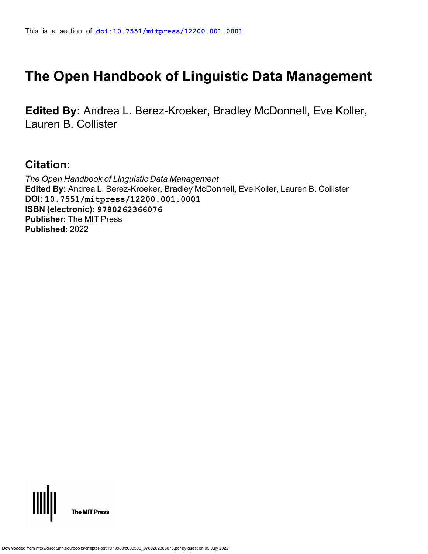# **The Open Handbook of Linguistic Data Management**

**Edited By:** Andrea L. Berez-Kroeker, Bradley McDonnell, Eve Koller, Lauren B. Collister

## **Citation:**

*The Open Handbook of Linguistic Data Management* **Edited By:** Andrea L. Berez-Kroeker, Bradley McDonnell, Eve Koller, Lauren B. Collister **DOI: 10.7551/mitpress/12200.001.0001 ISBN (electronic): 9780262366076 Publisher:** The MIT Press **Published:** 2022



**The MIT Press**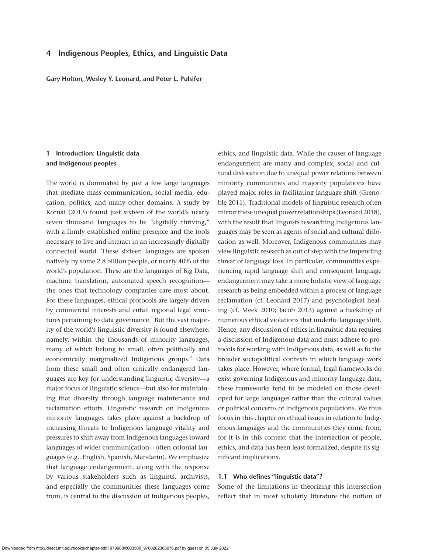## **4 Indigenous Peoples, Ethics, and Linguistic Data**

**Gary Holton, Wesley Y. Leonard, and Peter L. Pulsifer**

## **1 Introduction: Linguistic data and Indigenous peoples**

The world is dominated by just a few large languages that mediate mass communication, social media, education, politics, and many other domains. A study by Kornai (2013) found just sixteen of the world's nearly seven thousand languages to be "digitally thriving," with a firmly established online presence and the tools necessary to live and interact in an increasingly digitally connected world. These sixteen languages are spoken natively by some 2.8 billion people, or nearly 40% of the world's population. These are the languages of Big Data, machine translation, automated speech recognition the ones that technology companies care most about. For these languages, ethical protocols are largely driven by commercial interests and entail regional legal structures pertaining to data governance.<sup>1</sup> But the vast majority of the world's linguistic diversity is found elsewhere: namely, within the thousands of minority languages, many of which belong to small, often politically and economically marginalized Indigenous groups.<sup>2</sup> Data from these small and often critically endangered languages are key for understanding linguistic diversity—a major focus of linguistic science—but also for maintaining that diversity through language maintenance and reclamation efforts. Linguistic research on Indigenous minority languages takes place against a backdrop of increasing threats to Indigenous language vitality and pressures to shift away from Indigenous languages toward languages of wider communication—often colonial languages (e.g., English, Spanish, Mandarin). We emphasize that language endangerment, along with the response by various stakeholders such as linguists, archivists, and especially the communities these languages come from, is central to the discussion of Indigenous peoples,

ethics, and linguistic data. While the causes of language endangerment are many and complex, social and cultural dislocation due to unequal power relations between minority communities and majority populations have played major roles in facilitating language shift (Grenoble 2011). Traditional models of linguistic research often mirror these unequal power relationships (Leonard 2018), with the result that linguists researching Indigenous languages may be seen as agents of social and cultural dislocation as well. Moreover, Indigenous communities may view linguistic research as out of step with the impending threat of language loss. In particular, communities experiencing rapid language shift and consequent language endangerment may take a more holistic view of language research as being embedded within a process of language reclamation (cf. Leonard 2017) and psychological healing (cf. Meek 2010; Jacob 2013) against a backdrop of numerous ethical violations that underlie language shift. Hence, any discussion of ethics in linguistic data requires a discussion of Indigenous data and must adhere to protocols for working with Indigenous data, as well as to the broader sociopolitical contexts in which language work takes place. However, where formal, legal frameworks do exist governing Indigenous and minority language data, these frameworks tend to be modeled on those developed for large languages rather than the cultural values or political concerns of Indigenous populations. We thus focus in this chapter on ethical issues in relation to Indigenous languages and the communities they come from, for it is in this context that the intersection of people, ethics, and data has been least formalized, despite its significant implications.

#### **1.1 Who defines "linguistic data"?**

Some of the limitations in theorizing this intersection reflect that in most scholarly literature the notion of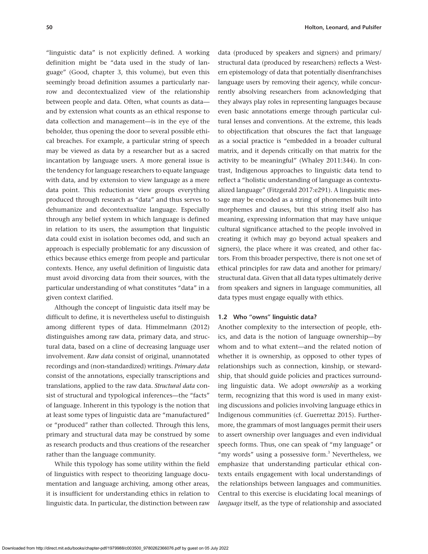"linguistic data" is not explicitly defined. A working definition might be "data used in the study of language" (Good, chapter 3, this volume), but even this seemingly broad definition assumes a particularly narrow and decontextualized view of the relationship between people and data. Often, what counts as data and by extension what counts as an ethical response to data collection and management—is in the eye of the beholder, thus opening the door to several possible ethical breaches. For example, a particular string of speech may be viewed as data by a researcher but as a sacred incantation by language users. A more general issue is the tendency for language researchers to equate language with data, and by extension to view language as a mere data point. This reductionist view groups everything produced through research as "data" and thus serves to dehumanize and decontextualize language. Especially through any belief system in which language is defined in relation to its users, the assumption that linguistic data could exist in isolation becomes odd, and such an approach is especially problematic for any discussion of ethics because ethics emerge from people and particular contexts. Hence, any useful definition of linguistic data must avoid divorcing data from their sources, with the particular understanding of what constitutes "data" in a given context clarified.

Although the concept of linguistic data itself may be difficult to define, it is nevertheless useful to distinguish among different types of data. Himmelmann (2012) distinguishes among raw data, primary data, and structural data, based on a cline of decreasing language user involvement. *Raw data* consist of original, unannotated recordings and (non-standardized) writings. *Primary data* consist of the annotations, especially transcriptions and translations, applied to the raw data. *Structural data* consist of structural and typological inferences—the "facts" of language. Inherent in this typology is the notion that at least some types of linguistic data are "manufactured" or "produced" rather than collected. Through this lens, primary and structural data may be construed by some as research products and thus creations of the researcher rather than the language community.

While this typology has some utility within the field of linguistics with respect to theorizing language documentation and language archiving, among other areas, it is insufficient for understanding ethics in relation to linguistic data. In particular, the distinction between raw

data (produced by speakers and signers) and primary/ structural data (produced by researchers) reflects a Western epistemology of data that potentially disenfranchises language users by removing their agency, while concurrently absolving researchers from acknowledging that they always play roles in representing languages because even basic annotations emerge through particular cultural lenses and conventions. At the extreme, this leads to objectification that obscures the fact that language as a social practice is "embedded in a broader cultural matrix, and it depends critically on that matrix for the activity to be meaningful" (Whaley 2011:344). In contrast, Indigenous approaches to linguistic data tend to reflect a "holistic understanding of language as contextualized language" (Fitzgerald 2017:e291). A linguistic message may be encoded as a string of phonemes built into morphemes and clauses, but this string itself also has meaning, expressing information that may have unique cultural significance attached to the people involved in creating it (which may go beyond actual speakers and signers), the place where it was created, and other factors. From this broader perspective, there is not one set of ethical principles for raw data and another for primary/ structural data. Given that all data types ultimately derive from speakers and signers in language communities, all data types must engage equally with ethics.

#### **1.2 Who "owns" linguistic data?**

Another complexity to the intersection of people, ethics, and data is the notion of language ownership—by whom and to what extent—and the related notion of whether it is ownership, as opposed to other types of relationships such as connection, kinship, or stewardship, that should guide policies and practices surrounding linguistic data. We adopt *ownership* as a working term, recognizing that this word is used in many existing discussions and policies involving language ethics in Indigenous communities (cf. Guerrettaz 2015). Furthermore, the grammars of most languages permit their users to assert ownership over languages and even individual speech forms. Thus, one can speak of "my language" or "my words" using a possessive form.<sup>3</sup> Nevertheless, we emphasize that understanding particular ethical contexts entails engagement with local understandings of the relationships between languages and communities. Central to this exercise is elucidating local meanings of *language* itself, as the type of relationship and associated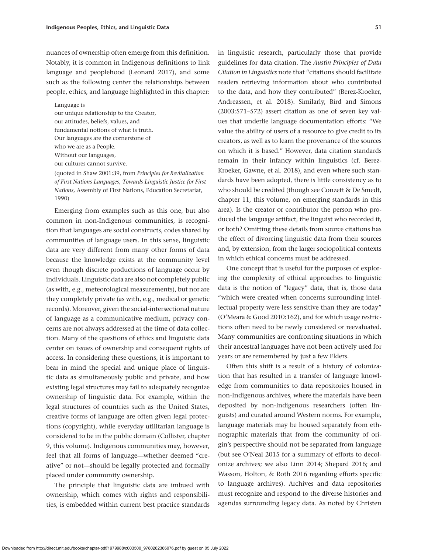nuances of ownership often emerge from this definition. Notably, it is common in Indigenous definitions to link language and peoplehood (Leonard 2017), and some such as the following center the relationships between people, ethics, and language highlighted in this chapter:

Language is

our unique relationship to the Creator, our attitudes, beliefs, values, and fundamental notions of what is truth. Our languages are the cornerstone of who we are as a People. Without our languages,

our cultures cannot survive.

(quoted in Shaw 2001:39, from *Principles for Revitalization of First Nations Languages, Towards Linguistic Justice for First Nations,* Assembly of First Nations, Education Secretariat, 1990)

Emerging from examples such as this one, but also common in non-Indigenous communities, is recognition that languages are social constructs, codes shared by communities of language users. In this sense, linguistic data are very different from many other forms of data because the knowledge exists at the community level even though discrete productions of language occur by individuals. Linguistic data are also not completely public (as with, e.g., meteorological measurements), but nor are they completely private (as with, e.g., medical or genetic records). Moreover, given the social-intersectional nature of language as a communicative medium, privacy concerns are not always addressed at the time of data collection. Many of the questions of ethics and linguistic data center on issues of ownership and consequent rights of access. In considering these questions, it is important to bear in mind the special and unique place of linguistic data as simultaneously public and private, and how existing legal structures may fail to adequately recognize ownership of linguistic data. For example, within the legal structures of countries such as the United States, creative forms of language are often given legal protections (copyright), while everyday utilitarian language is considered to be in the public domain (Collister, chapter 9, this volume). Indigenous communities may, however, feel that all forms of language—whether deemed "creative" or not—should be legally protected and formally placed under community ownership.

The principle that linguistic data are imbued with ownership, which comes with rights and responsibilities, is embedded within current best practice standards

in linguistic research, particularly those that provide guidelines for data citation. The *Austin Principles of Data Citation in Linguistics* note that "citations should facilitate readers retrieving information about who contributed to the data, and how they contributed" (Berez-Kroeker, Andreassen, et al. 2018). Similarly, Bird and Simons (2003:571–572) assert citation as one of seven key values that underlie language documentation efforts: "We value the ability of users of a resource to give credit to its creators, as well as to learn the provenance of the sources on which it is based." However, data citation standards remain in their infancy within linguistics (cf. Berez-Kroeker, Gawne, et al. 2018), and even where such standards have been adopted, there is little consistency as to who should be credited (though see Conzett & De Smedt, chapter 11, this volume, on emerging standards in this area). Is the creator or contributor the person who produced the language artifact, the linguist who recorded it, or both? Omitting these details from source citations has the effect of divorcing linguistic data from their sources and, by extension, from the larger sociopolitical contexts in which ethical concerns must be addressed.

One concept that is useful for the purposes of exploring the complexity of ethical approaches to linguistic data is the notion of "legacy" data, that is, those data "which were created when concerns surrounding intellectual property were less sensitive than they are today" (O'Meara & Good 2010:162), and for which usage restrictions often need to be newly considered or reevaluated. Many communities are confronting situations in which their ancestral languages have not been actively used for years or are remembered by just a few Elders.

Often this shift is a result of a history of colonization that has resulted in a transfer of language knowledge from communities to data repositories housed in non-Indigenous archives, where the materials have been deposited by non-Indigenous researchers (often linguists) and curated around Western norms. For example, language materials may be housed separately from ethnographic materials that from the community of origin's perspective should not be separated from language (but see O'Neal 2015 for a summary of efforts to decolonize archives; see also Linn 2014; Shepard 2016; and Wasson, Holton, & Roth 2016 regarding efforts specific to language archives). Archives and data repositories must recognize and respond to the diverse histories and agendas surrounding legacy data. As noted by Christen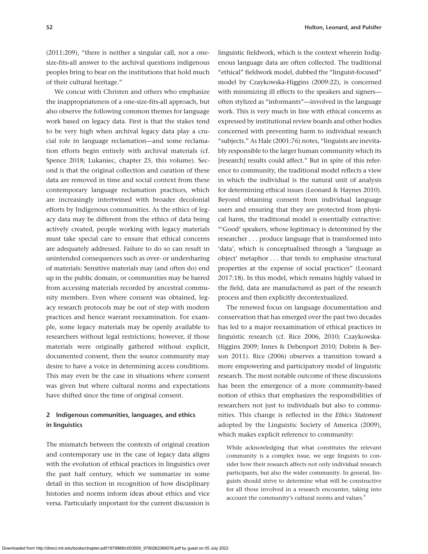(2011:209), "there is neither a singular call, nor a onesize-fits-all answer to the archival questions indigenous peoples bring to bear on the institutions that hold much of their cultural heritage."

We concur with Christen and others who emphasize the inappropriateness of a one-size-fits-all approach, but also observe the following common themes for language work based on legacy data. First is that the stakes tend to be very high when archival legacy data play a crucial role in language reclamation—and some reclamation efforts begin entirely with archival materials (cf. Spence 2018; Lukaniec, chapter 25, this volume). Second is that the original collection and curation of these data are removed in time and social context from these contemporary language reclamation practices, which are increasingly intertwined with broader decolonial efforts by Indigenous communities. As the ethics of legacy data may be different from the ethics of data being actively created, people working with legacy materials must take special care to ensure that ethical concerns are adequately addressed. Failure to do so can result in unintended consequences such as over- or undersharing of materials: Sensitive materials may (and often do) end up in the public domain, or communities may be barred from accessing materials recorded by ancestral community members. Even where consent was obtained, legacy research protocols may be out of step with modern practices and hence warrant reexamination. For example, some legacy materials may be openly available to researchers without legal restrictions; however, if those materials were originally gathered without explicit, documented consent, then the source community may desire to have a voice in determining access conditions. This may even be the case in situations where consent was given but where cultural norms and expectations have shifted since the time of original consent.

## **2 Indigenous communities, languages, and ethics in linguistics**

The mismatch between the contexts of original creation and contemporary use in the case of legacy data aligns with the evolution of ethical practices in linguistics over the past half century, which we summarize in some detail in this section in recognition of how disciplinary histories and norms inform ideas about ethics and vice versa. Particularly important for the current discussion is

linguistic fieldwork, which is the context wherein Indigenous language data are often collected. The traditional "ethical" fieldwork model, dubbed the "linguist-focused" model by Czaykowska-Higgins (2009:22), is concerned with minimizing ill effects to the speakers and signers often stylized as "informants"—involved in the language work. This is very much in line with ethical concerns as expressed by institutional review boards and other bodies concerned with preventing harm to individual research "subjects." As Hale (2001:76) notes, "linguists are inevitably responsible to the larger human community which its [research] results could affect." But in spite of this reference to community, the traditional model reflects a view in which the individual is the natural unit of analysis for determining ethical issues (Leonard & Haynes 2010). Beyond obtaining consent from individual language users and ensuring that they are protected from physical harm, the traditional model is essentially extractive: "'Good' speakers, whose legitimacy is determined by the researcher . . . produce language that is transformed into 'data', which is conceptualised through a 'language as object' metaphor . . . that tends to emphasise structural properties at the expense of social practices" (Leonard 2017:18). In this model, which remains highly valued in the field, data are manufactured as part of the research process and then explicitly decontextualized.

The renewed focus on language documentation and conservation that has emerged over the past two decades has led to a major reexamination of ethical practices in linguistic research (cf. Rice 2006, 2010; Czaykowska-Higgins 2009; Innes & Debenport 2010; Dobrin & Berson 2011). Rice (2006) observes a transition toward a more empowering and participatory model of linguistic research. The most notable outcome of these discussions has been the emergence of a more community-based notion of ethics that emphasizes the responsibilities of researchers not just to individuals but also to communities. This change is reflected in the *Ethics Statement* adopted by the Linguistic Society of America (2009), which makes explicit reference to community:

While acknowledging that what constitutes the relevant community is a complex issue, we urge linguists to consider how their research affects not only individual research participants, but also the wider community. In general, linguists should strive to determine what will be constructive for all those involved in a research encounter, taking into account the community's cultural norms and values.<sup>4</sup>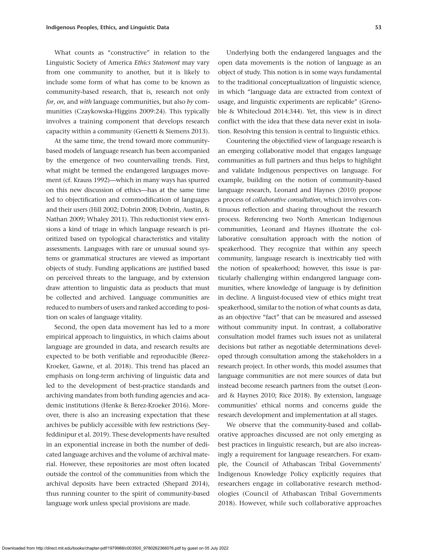What counts as "constructive" in relation to the Linguistic Society of America *Ethics Statement* may vary from one community to another, but it is likely to include some form of what has come to be known as community-based research, that is, research not only *for*, *on*, and *with* language communities, but also *by* communities (Czaykowska-Higgins 2009:24). This typically involves a training component that develops research capacity within a community (Genetti & Siemens 2013).

At the same time, the trend toward more communitybased models of language research has been accompanied by the emergence of two countervailing trends. First, what might be termed the endangered languages movement (cf. Krauss 1992)—which in many ways has spurred on this new discussion of ethics—has at the same time led to objectification and commodification of languages and their users (Hill 2002; Dobrin 2008; Dobrin, Austin, & Nathan 2009; Whaley 2011). This reductionist view envisions a kind of triage in which language research is prioritized based on typological characteristics and vitality assessments. Languages with rare or unusual sound systems or grammatical structures are viewed as important objects of study. Funding applications are justified based on perceived threats to the language, and by extension draw attention to linguistic data as products that must be collected and archived. Language communities are reduced to numbers of users and ranked according to position on scales of language vitality.

Second, the open data movement has led to a more empirical approach to linguistics, in which claims about language are grounded in data, and research results are expected to be both verifiable and reproducible (Berez-Kroeker, Gawne, et al. 2018). This trend has placed an emphasis on long-term archiving of linguistic data and led to the development of best-practice standards and archiving mandates from both funding agencies and academic institutions (Henke & Berez-Kroeker 2016). Moreover, there is also an increasing expectation that these archives be publicly accessible with few restrictions (Seyfeddinipur et al. 2019). These developments have resulted in an exponential increase in both the number of dedicated language archives and the volume of archival material. However, these repositories are most often located outside the control of the communities from which the archival deposits have been extracted (Shepard 2014), thus running counter to the spirit of community-based language work unless special provisions are made.

Underlying both the endangered languages and the open data movements is the notion of language as an object of study. This notion is in some ways fundamental to the traditional conceptualization of linguistic science, in which "language data are extracted from context of usage, and linguistic experiments are replicable" (Grenoble & Whitecloud 2014:344). Yet, this view is in direct conflict with the idea that these data never exist in isolation. Resolving this tension is central to linguistic ethics.

Countering the objectified view of language research is an emerging collaborative model that engages language communities as full partners and thus helps to highlight and validate Indigenous perspectives on language. For example, building on the notion of community-based language research, Leonard and Haynes (2010) propose a process of *collaborative consultation*, which involves continuous reflection and sharing throughout the research process. Referencing two North American Indigenous communities, Leonard and Haynes illustrate the collaborative consultation approach with the notion of speakerhood. They recognize that within any speech community, language research is inextricably tied with the notion of speakerhood; however, this issue is particularly challenging within endangered language communities, where knowledge of language is by definition in decline. A linguist-focused view of ethics might treat speakerhood, similar to the notion of what counts as data, as an objective "fact" that can be measured and assessed without community input. In contrast, a collaborative consultation model frames such issues not as unilateral decisions but rather as negotiable determinations developed through consultation among the stakeholders in a research project. In other words, this model assumes that language communities are not mere sources of data but instead become research partners from the outset (Leonard & Haynes 2010; Rice 2018). By extension, language communities' ethical norms and concerns guide the research development and implementation at all stages.

We observe that the community-based and collaborative approaches discussed are not only emerging as best practices in linguistic research, but are also increasingly a requirement for language researchers. For example, the Council of Athabascan Tribal Governments' Indigenous Knowledge Policy explicitly requires that researchers engage in collaborative research methodologies (Council of Athabascan Tribal Governments 2018). However, while such collaborative approaches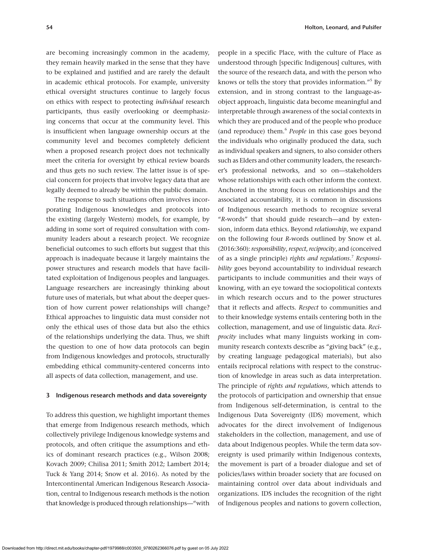are becoming increasingly common in the academy, they remain heavily marked in the sense that they have to be explained and justified and are rarely the default in academic ethical protocols. For example, university ethical oversight structures continue to largely focus on ethics with respect to protecting *individual* research participants, thus easily overlooking or deemphasizing concerns that occur at the community level. This is insufficient when language ownership occurs at the community level and becomes completely deficient when a proposed research project does not technically meet the criteria for oversight by ethical review boards and thus gets no such review. The latter issue is of special concern for projects that involve legacy data that are legally deemed to already be within the public domain.

The response to such situations often involves incorporating Indigenous knowledges and protocols into the existing (largely Western) models, for example, by adding in some sort of required consultation with community leaders about a research project. We recognize beneficial outcomes to such efforts but suggest that this approach is inadequate because it largely maintains the power structures and research models that have facilitated exploitation of Indigenous peoples and languages. Language researchers are increasingly thinking about future uses of materials, but what about the deeper question of how current power relationships will change? Ethical approaches to linguistic data must consider not only the ethical uses of those data but also the ethics of the relationships underlying the data. Thus, we shift the question to one of how data protocols can begin from Indigenous knowledges and protocols, structurally embedding ethical community-centered concerns into all aspects of data collection, management, and use.

#### **3 Indigenous research methods and data sovereignty**

To address this question, we highlight important themes that emerge from Indigenous research methods, which collectively privilege Indigenous knowledge systems and protocols, and often critique the assumptions and ethics of dominant research practices (e.g., Wilson 2008; Kovach 2009; Chilisa 2011; Smith 2012; Lambert 2014; Tuck & Yang 2014; Snow et al. 2016). As noted by the Intercontinental American Indigenous Research Association, central to Indigenous research methods is the notion that knowledge is produced through relationships—"with

people in a specific Place, with the culture of Place as understood through [specific Indigenous] cultures, with the source of the research data, and with the person who knows or tells the story that provides information."<sup>5</sup> By extension, and in strong contrast to the language-asobject approach, linguistic data become meaningful and interpretable through awareness of the social contexts in which they are produced and of the people who produce (and reproduce) them.6 *People* in this case goes beyond the individuals who originally produced the data, such as individual speakers and signers, to also consider others such as Elders and other community leaders, the researcher's professional networks, and so on—stakeholders whose relationships with each other inform the context. Anchored in the strong focus on relationships and the associated accountability, it is common in discussions of Indigenous research methods to recognize several "*R-*words" that should guide research—and by extension, inform data ethics. Beyond *relationship*, we expand on the following four *R*-words outlined by Snow et al. (2016:360): *responsibility*, *respect*, *reciprocity*, and (conceived of as a single principle) *rights and regulations*. <sup>7</sup> *Responsibility* goes beyond accountability to individual research participants to include communities and their ways of knowing, with an eye toward the sociopolitical contexts in which research occurs and to the power structures that it reflects and affects. *Respect* to communities and to their knowledge systems entails centering both in the collection, management, and use of linguistic data. *Reciprocity* includes what many linguists working in community research contexts describe as "giving back" (e.g., by creating language pedagogical materials), but also entails reciprocal relations with respect to the construction of knowledge in areas such as data interpretation. The principle of *rights and regulations*, which attends to the protocols of participation and ownership that ensue from Indigenous self-determination, is central to the Indigenous Data Sovereignty (IDS) movement, which advocates for the direct involvement of Indigenous stakeholders in the collection, management, and use of data about Indigenous peoples. While the term data sovereignty is used primarily within Indigenous contexts, the movement is part of a broader dialogue and set of policies/laws within broader society that are focused on maintaining control over data about individuals and organizations. IDS includes the recognition of the right of Indigenous peoples and nations to govern collection,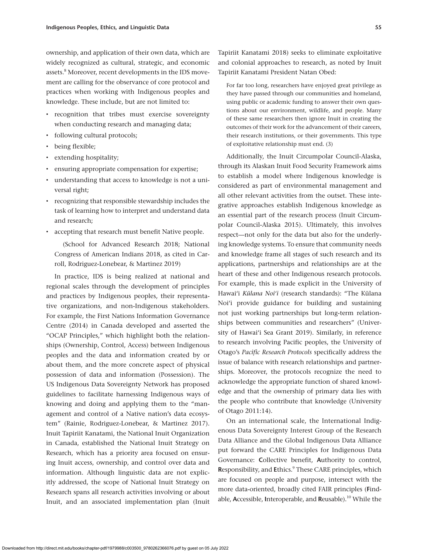ownership, and application of their own data, which are widely recognized as cultural, strategic, and economic assets.<sup>8</sup> Moreover, recent developments in the IDS movement are calling for the observance of core protocol and practices when working with Indigenous peoples and knowledge. These include, but are not limited to:

- recognition that tribes must exercise sovereignty when conducting research and managing data;
- following cultural protocols;
- being flexible;
- extending hospitality;
- ensuring appropriate compensation for expertise;
- understanding that access to knowledge is not a universal right;
- recognizing that responsible stewardship includes the task of learning how to interpret and understand data and research;
- accepting that research must benefit Native people.

(School for Advanced Research 2018; National Congress of American Indians 2018, as cited in Carroll, Rodriguez-Lonebear, & Martinez 2019)

In practice, IDS is being realized at national and regional scales through the development of principles and practices by Indigenous peoples, their representative organizations, and non-Indigenous stakeholders. For example, the First Nations Information Governance Centre (2014) in Canada developed and asserted the "OCAP Principles," which highlight both the relationships (Ownership, Control, Access) between Indigenous peoples and the data and information created by or about them, and the more concrete aspect of physical possession of data and information (Possession). The US Indigenous Data Sovereignty Network has proposed guidelines to facilitate harnessing Indigenous ways of knowing and doing and applying them to the "management and control of a Native nation's data ecosystem" (Rainie, Rodriguez-Lonebear, & Martinez 2017). Inuit Tapiriit Kanatami, the National Inuit Organization in Canada, established the National Inuit Strategy on Research, which has a priority area focused on ensuring Inuit access, ownership, and control over data and information. Although linguistic data are not explicitly addressed, the scope of National Inuit Strategy on Research spans all research activities involving or about Inuit, and an associated implementation plan (Inuit Tapiriit Kanatami 2018) seeks to eliminate exploitative and colonial approaches to research, as noted by Inuit Tapiriit Kanatami President Natan Obed:

For far too long, researchers have enjoyed great privilege as they have passed through our communities and homeland, using public or academic funding to answer their own questions about our environment, wildlife, and people. Many of these same researchers then ignore Inuit in creating the outcomes of their work for the advancement of their careers, their research institutions, or their governments. This type of exploitative relationship must end. (3)

Additionally, the Inuit Circumpolar Council-Alaska, through its Alaskan Inuit Food Security Framework aims to establish a model where Indigenous knowledge is considered as part of environmental management and all other relevant activities from the outset. These integrative approaches establish Indigenous knowledge as an essential part of the research process (Inuit Circumpolar Council-Alaska 2015). Ultimately, this involves respect—not only for the data but also for the underlying knowledge systems. To ensure that community needs and knowledge frame all stages of such research and its applications, partnerships and relationships are at the heart of these and other Indigenous research protocols. For example, this is made explicit in the University of Hawai'i *Kūlana Noi'i* (research standards): "The Kūlana Noi'i provide guidance for building and sustaining not just working partnerships but long-term relationships between communities and researchers" (University of Hawai'i Sea Grant 2019). Similarly, in reference to research involving Pacific peoples, the University of Otago's *Pacific Research Protocols* specifically address the issue of balance with research relationships and partnerships. Moreover, the protocols recognize the need to acknowledge the appropriate function of shared knowledge and that the ownership of primary data lies with the people who contribute that knowledge (University of Otago 2011:14).

On an international scale, the International Indigenous Data Sovereignty Interest Group of the Research Data Alliance and the Global Indigenous Data Alliance put forward the CARE Principles for Indigenous Data Governance: **C**ollective benefit, **A**uthority to control, Responsibility, and Ethics.<sup>9</sup> These CARE principles, which are focused on people and purpose, intersect with the more data-oriented, broadly cited FAIR principles (**F**indable, **A**ccessible, **I**nteroperable, and **R**eusable).10 While the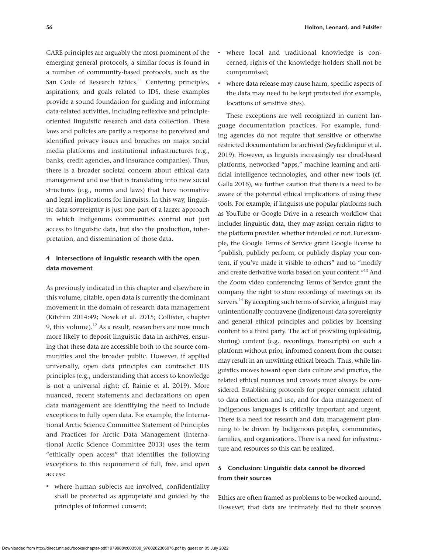CARE principles are arguably the most prominent of the emerging general protocols, a similar focus is found in a number of community-based protocols, such as the San Code of Research Ethics.<sup>11</sup> Centering principles, aspirations, and goals related to IDS, these examples provide a sound foundation for guiding and informing data-related activities, including reflexive and principleoriented linguistic research and data collection. These laws and policies are partly a response to perceived and identified privacy issues and breaches on major social media platforms and institutional infrastructures (e.g., banks, credit agencies, and insurance companies). Thus, there is a broader societal concern about ethical data management and use that is translating into new social structures (e.g., norms and laws) that have normative and legal implications for linguists. In this way, linguistic data sovereignty is just one part of a larger approach in which Indigenous communities control not just access to linguistic data, but also the production, interpretation, and dissemination of those data.

### **4 Intersections of linguistic research with the open data movement**

As previously indicated in this chapter and elsewhere in this volume, citable, open data is currently the dominant movement in the domain of research data management (Kitchin 2014:49; Nosek et al. 2015; Collister, chapter 9, this volume).<sup>12</sup> As a result, researchers are now much more likely to deposit linguistic data in archives, ensuring that these data are accessible both to the source communities and the broader public. However, if applied universally, open data principles can contradict IDS principles (e.g., understanding that access to knowledge is not a universal right; cf. Rainie et al. 2019). More nuanced, recent statements and declarations on open data management are identifying the need to include exceptions to fully open data. For example, the International Arctic Science Committee Statement of Principles and Practices for Arctic Data Management (International Arctic Science Committee 2013) uses the term "ethically open access" that identifies the following exceptions to this requirement of full, free, and open access:

• where human subjects are involved, confidentiality shall be protected as appropriate and guided by the principles of informed consent;

- where local and traditional knowledge is concerned, rights of the knowledge holders shall not be compromised;
- where data release may cause harm, specific aspects of the data may need to be kept protected (for example, locations of sensitive sites).

These exceptions are well recognized in current language documentation practices. For example, funding agencies do not require that sensitive or otherwise restricted documentation be archived (Seyfeddinipur et al. 2019). However, as linguists increasingly use cloud-based platforms, networked "apps," machine learning and artificial intelligence technologies, and other new tools (cf. Galla 2016), we further caution that there is a need to be aware of the potential ethical implications of using these tools. For example, if linguists use popular platforms such as YouTube or Google Drive in a research workflow that includes linguistic data, they may assign certain rights to the platform provider, whether intended or not. For example, the Google Terms of Service grant Google license to "publish, publicly perform, or publicly display your content, if you've made it visible to others" and to "modify and create derivative works based on your content."<sup>13</sup> And the Zoom video conferencing Terms of Service grant the company the right to store recordings of meetings on its servers.<sup>14</sup> By accepting such terms of service, a linguist may unintentionally contravene (Indigenous) data sovereignty and general ethical principles and policies by licensing content to a third party. The act of providing (uploading, storing) content (e.g., recordings, transcripts) on such a platform without prior, informed consent from the outset may result in an unwitting ethical breach. Thus, while linguistics moves toward open data culture and practice, the related ethical nuances and caveats must always be considered. Establishing protocols for proper consent related to data collection and use, and for data management of Indigenous languages is critically important and urgent. There is a need for research and data management planning to be driven by Indigenous peoples, communities, families, and organizations. There is a need for infrastructure and resources so this can be realized.

## **5 Conclusion: Linguistic data cannot be divorced from their sources**

Ethics are often framed as problems to be worked around. However, that data are intimately tied to their sources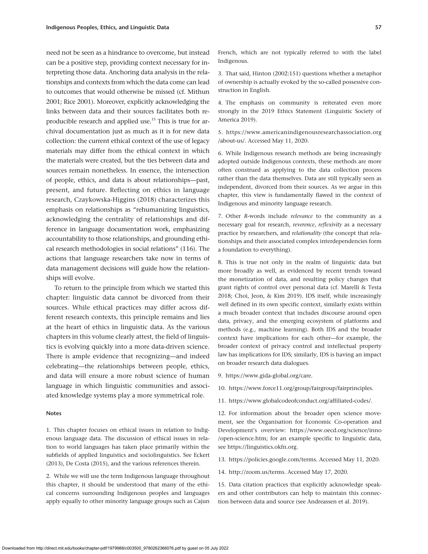need not be seen as a hindrance to overcome, but instead can be a positive step, providing context necessary for interpreting those data. Anchoring data analysis in the relationships and contexts from which the data come can lead to outcomes that would otherwise be missed (cf. Mithun 2001; Rice 2001). Moreover, explicitly acknowledging the links between data and their sources facilitates both reproducible research and applied use.<sup>15</sup> This is true for archival documentation just as much as it is for new data collection: the current ethical context of the use of legacy materials may differ from the ethical context in which the materials were created, but the ties between data and sources remain nonetheless. In essence, the intersection of people, ethics, and data is about relationships—past, present, and future. Reflecting on ethics in language research, Czaykowska-Higgins (2018) characterizes this emphasis on relationships as "rehumanizing linguistics, acknowledging the centrality of relationships and difference in language documentation work, emphasizing accountability to those relationships, and grounding ethical research methodologies in social relations" (116). The actions that language researchers take now in terms of data management decisions will guide how the relationships will evolve.

To return to the principle from which we started this chapter: linguistic data cannot be divorced from their sources. While ethical practices may differ across different research contexts, this principle remains and lies at the heart of ethics in linguistic data. As the various chapters in this volume clearly attest, the field of linguistics is evolving quickly into a more data-driven science. There is ample evidence that recognizing—and indeed celebrating—the relationships between people, ethics, and data will ensure a more robust science of human language in which linguistic communities and associated knowledge systems play a more symmetrical role.

#### **Notes**

1. This chapter focuses on ethical issues in relation to Indigenous language data. The discussion of ethical issues in relation to world languages has taken place primarily within the subfields of applied linguistics and sociolinguistics. See Eckert (2013), De Costa (2015), and the various references therein.

2. While we will use the term Indigenous language throughout this chapter, it should be understood that many of the ethical concerns surrounding Indigenous peoples and languages apply equally to other minority language groups such as Cajun

French, which are not typically referred to with the label Indigenous.

3. That said, Hinton (2002:151) questions whether a metaphor of ownership is actually evoked by the so-called possessive construction in English.

4. The emphasis on community is reiterated even more strongly in the 2019 Ethics Statement (Linguistic Society of America 2019).

5. [https://www.americanindigenousresearchassociation.org](https://www.americanindigenousresearchassociation.org/about-us/) [/about-us/](https://www.americanindigenousresearchassociation.org/about-us/). Accessed May 11, 2020.

6. While Indigenous research methods are being increasingly adopted outside Indigenous contexts, these methods are more often construed as applying to the data collection process rather than the data themselves. Data are still typically seen as independent, divorced from their sources. As we argue in this chapter, this view is fundamentally flawed in the context of Indigenous and minority language research.

7. Other *R*-words include *relevance* to the community as a necessary goal for research, *reverence*, *reflexivity* as a necessary practice by researchers, and *relationality* (the concept that relationships and their associated complex interdependencies form a foundation to everything).

8. This is true not only in the realm of linguistic data but more broadly as well, as evidenced by recent trends toward the monetization of data, and resulting policy changes that grant rights of control over personal data (cf. Marelli & Testa 2018; Choi, Jeon, & Kim 2019). IDS itself, while increasingly well defined in its own specific context, similarly exists within a much broader context that includes discourse around open data, privacy, and the emerging ecosystem of platforms and methods (e.g., machine learning). Both IDS and the broader context have implications for each other—for example, the broader context of privacy control and intellectual property law has implications for IDS; similarly, IDS is having an impact on broader research data dialogues.

9. <https://www.gida-global.org/care>.

10. <https://www.force11.org/group/fairgroup/fairprinciples>.

11. [https://www.globalcodeofconduct.org/affiliated-codes/.](https://www.globalcodeofconduct.org/affiliated-codes/)

12. For information about the broader open science movement, see the Organisation for Economic Co-operation and Development's overview: [https://www.oecd.org/science/inno](https://www.oecd.org/science/inno/open-science.htm) [/open-science.htm](https://www.oecd.org/science/inno/open-science.htm); for an example specific to linguistic data, see<https://linguistics.okfn.org>.

13. <https://policies.google.com/terms>. Accessed May 11, 2020.

14. [http://zoom.us/terms.](http://zoom.us/terms) Accessed May 17, 2020.

15. Data citation practices that explicitly acknowledge speakers and other contributors can help to maintain this connection between data and source (see Andreassen et al. 2019).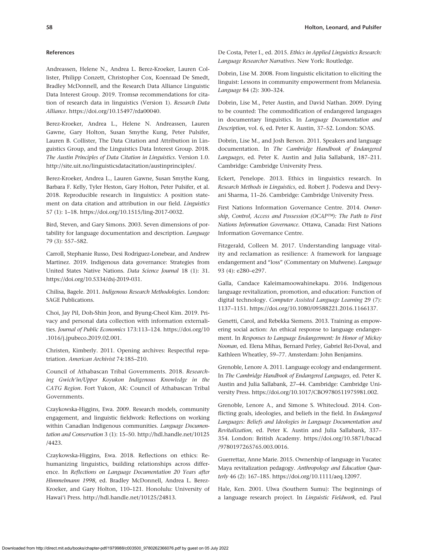#### **References**

Andreassen, Helene N., Andrea L. Berez-Kroeker, Lauren Collister, Philipp Conzett, Christopher Cox, Koenraad De Smedt, Bradley McDonnell, and the Research Data Alliance Linguistic Data Interest Group. 2019. Tromsø recommendations for citation of research data in linguistics (Version 1). *Research Data Alliance*. <https://doi.org/10.15497/rda00040>.

Berez-Kroeker, Andrea L., Helene N. Andreassen, Lauren Gawne, Gary Holton, Susan Smythe Kung, Peter Pulsifer, Lauren B. Collister, The Data Citation and Attribution in Linguistics Group, and the Linguistics Data Interest Group. 2018. *The Austin Principles of Data Citation in Linguistics.* Version 1.0. [http://site.uit.no/linguisticsdatacitation/austinprinciples/.](http://site.uit.no/linguisticsdatacitation/austinprinciples/)

Berez-Kroeker, Andrea L., Lauren Gawne, Susan Smythe Kung, Barbara F. Kelly, Tyler Heston, Gary Holton, Peter Pulsifer, et al. 2018. Reproducible research in linguistics: A position statement on data citation and attribution in our field. *Linguistics* 57 (1): 1–18. [https://doi.org/10.1515/ling-2017-0032.](https://doi.org/10.1515/ling-2017-0032)

Bird, Steven, and Gary Simons. 2003. Seven dimensions of portability for language documentation and description. *Language* 79 (3): 557–582.

Carroll, Stephanie Russo, Desi Rodriguez-Lonebear, and Andrew Martinez. 2019. Indigenous data governance: Strategies from United States Native Nations. *Data Science Journal* 18 (1): 31. [https://doi.org/10.5334/dsj-2019-031.](https://doi.org/10.5334/dsj-2019-031)

Chilisa, Bagele. 2011. *Indigenous Research Methodologies.* London: SAGE Publications.

Choi, Jay Pil, Doh-Shin Jeon, and Byung-Cheol Kim. 2019. Privacy and personal data collection with information externalities. *Journal of Public Economics* 173:113–124. [https://doi.org/10](https://doi.org/10.1016/j.jpubeco.2019.02.001) [.1016/j.jpubeco.2019.02.001.](https://doi.org/10.1016/j.jpubeco.2019.02.001)

Christen, Kimberly. 2011. Opening archives: Respectful repatriation. *American Archivist* 74:185–210.

Council of Athabascan Tribal Governments. 2018. *Researching Gwich'in/Upper Koyukon Indigenous Knowledge in the CATG Region*. Fort Yukon, AK: Council of Athabascan Tribal Governments.

Czaykowska-Higgins, Ewa. 2009. Research models, community engagement, and linguistic fieldwork: Reflections on working within Canadian Indigenous communities. *Language Documentation and Conservation* 3 (1): 15–50. [http://hdl.handle.net/10125](http://hdl.handle.net/10125/4423) [/4423.](http://hdl.handle.net/10125/4423)

Czaykowska-Higgins, Ewa. 2018. Reflections on ethics: Rehumanizing linguistics, building relationships across difference. In *Reflections on Language Documentation 20 Years after Himmelmann 1998*, ed. Bradley McDonnell, Andrea L. Berez-Kroeker, and Gary Holton, 110–121. Honolulu: University of Hawai'i Press. <http://hdl.handle.net/10125/24813>.

De Costa, Peter I., ed. 2015. *Ethics in Applied Linguistics Research: Language Researcher Narratives*. New York: Routledge.

Dobrin, Lise M. 2008. From linguistic elicitation to eliciting the linguist: Lessons in community empowerment from Melanesia. *Language* 84 (2): 300–324.

Dobrin, Lise M., Peter Austin, and David Nathan. 2009. Dying to be counted: The commodification of endangered languages in documentary linguistics. In *Language Documentation and Description*, vol. 6, ed. Peter K. Austin, 37–52. London: SOAS.

Dobrin, Lise M., and Josh Berson. 2011. Speakers and language documentation. In *The Cambridge Handbook of Endangered Languages*, ed. Peter K. Austin and Julia Sallabank, 187–211. Cambridge: Cambridge University Press.

Eckert, Penelope. 2013. Ethics in linguistics research. In *Research Methods in Linguistics*, ed. Robert J. Podesva and Devyani Sharma, 11–26. Cambridge: Cambridge University Press.

First Nations Information Governance Centre. 2014. *Ownership, Control, Access and Possession (OCAP™): The Path to First Nations Information Governance.* Ottawa, Canada: First Nations Information Governance Centre.

Fitzgerald, Colleen M. 2017. Understanding language vitality and reclamation as resilience: A framework for language endangerment and "loss" (Commentary on Mufwene). *Language* 93 (4): e280–e297.

Galla, Candace Kaleimamoowahinekapu. 2016. Indigenous language revitalization, promotion, and education: Function of digital technology. *Computer Assisted Language Learning* 29 (7): 1137–1151. [https://doi.org/10.1080/09588221.2016.1166137.](https://doi.org/10.1080/09588221.2016.1166137)

Genetti, Carol, and Rebekka Siemens. 2013. Training as empowering social action: An ethical response to language endangerment. In *Responses to Language Endangerment: In Honor of Mickey Noonan*, ed. Elena Mihas, Bernard Perley, Gabriel Rei-Doval, and Kathleen Wheatley, 59–77. Amsterdam: John Benjamins.

Grenoble, Lenore A. 2011. Language ecology and endangerment. In *The Cambridge Handbook of Endangered Languages*, ed. Peter K. Austin and Julia Sallabank, 27–44. Cambridge: Cambridge University Press. [https://doi.org/10.1017/CBO9780511975981.002.](https://doi.org/10.1017/CBO9780511975981.002)

Grenoble, Lenore A., and Simone S. Whitecloud. 2014. Conflicting goals, ideologies, and beliefs in the field. In *Endangered Languages: Beliefs and Ideologies in Language Documentation and Revitalization*, ed. Peter K. Austin and Julia Sallabank, 337– 354. London: British Academy. [https://doi.org/10.5871/bacad](https://doi.org/10.5871/bacad/9780197265765.003.0016) [/9780197265765.003.0016](https://doi.org/10.5871/bacad/9780197265765.003.0016).

Guerrettaz, Anne Marie. 2015. Ownership of language in Yucatec Maya revitalization pedagogy. *Anthropology and Education Quarterly* 46 (2): 167–185. [https://doi.org/10.1111/aeq.12097.](https://doi.org/10.1111/aeq.12097)

Hale, Ken. 2001. Ulwa (Southern Sumu): The beginnings of a language research project. In *Linguistic Fieldwork*, ed. Paul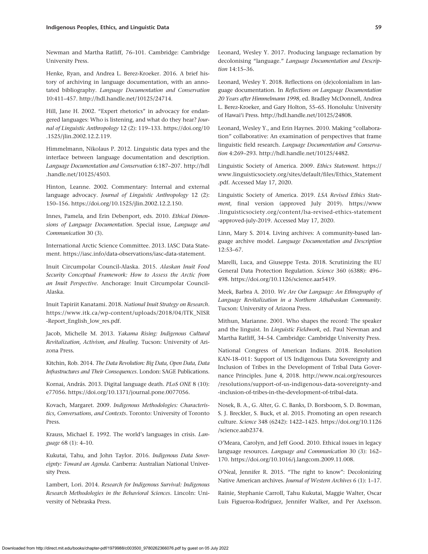Newman and Martha Ratliff, 76–101. Cambridge: Cambridge University Press.

Henke, Ryan, and Andrea L. Berez-Kroeker. 2016. A brief history of archiving in language documentation, with an annotated bibliography. *Language Documentation and Conservation* 10:411–457. [http://hdl.handle.net/10125/24714.](http://hdl.handle.net/10125/24714)

Hill, Jane H. 2002. "Expert rhetorics" in advocacy for endangered languages: Who is listening, and what do they hear? *Journal of Linguistic Anthropology* 12 (2): 119–133. [https://doi.org/10](https://doi.org/10.1525/jlin.2002.12.2.119) [.1525/jlin.2002.12.2.119](https://doi.org/10.1525/jlin.2002.12.2.119).

Himmelmann, Nikolaus P. 2012. Linguistic data types and the interface between language documentation and description. *Language Documentation and Conservation* 6:187–207. [http://hdl](http://hdl.handle.net/10125/4503) [.handle.net/10125/4503.](http://hdl.handle.net/10125/4503)

Hinton, Leanne. 2002. Commentary: Internal and external language advocacy. *Journal of Linguistic Anthropology* 12 (2): 150–156. [https://doi.org/10.1525/jlin.2002.12.2.150.](https://doi.org/10.1525/jlin.2002.12.2.150)

Innes, Pamela, and Erin Debenport, eds. 2010. *Ethical Dimensions of Language Documentation*. Special issue, *Language and Communication* 30 (3).

International Arctic Science Committee. 2013. IASC Data Statement.<https://iasc.info/data-observations/iasc-data-statement>.

Inuit Circumpolar Council-Alaska. 2015. *Alaskan Inuit Food Security Conceptual Framework: How to Assess the Arctic from an Inuit Perspective.* Anchorage: Inuit Circumpolar Council-Alaska.

Inuit Tapiriit Kanatami. 2018. *National Inuit Strategy on Research*. [https://www.itk.ca/wp-content/uploads/2018/04/ITK\\_NISR](https://www.itk.ca/wp-content/uploads/2018/04/ITK_NISR-Report_English_low_res.pdf) [-Report\\_English\\_low\\_res.pdf](https://www.itk.ca/wp-content/uploads/2018/04/ITK_NISR-Report_English_low_res.pdf).

Jacob, Michelle M. 2013. *Yakama Rising: Indigenous Cultural Revitalization, Activism, and Healing*. Tucson: University of Arizona Press.

Kitchin, Rob. 2014. *The Data Revolution: Big Data, Open Data, Data Infrastructures and Their Consequences*. London: SAGE Publications.

Kornai, András. 2013. Digital language death. *PLoS ONE* 8 (10): e77056. [https://doi.org/10.1371/journal.pone.0077056.](https://doi.org/10.1371/journal.pone.0077056)

Kovach, Margaret. 2009. *Indigenous Methodologies: Characteristics, Conversations, and Contexts*. Toronto: University of Toronto Press.

Krauss, Michael E. 1992. The world's languages in crisis. *Language* 68 (1): 4–10.

Kukutai, Tahu, and John Taylor. 2016. *Indigenous Data Sovereignty: Toward an Agenda*. Canberra: Australian National University Press.

Lambert, Lori. 2014. *Research for Indigenous Survival: Indigenous Research Methodologies in the Behavioral Sciences*. Lincoln: University of Nebraska Press.

Leonard, Wesley Y. 2017. Producing language reclamation by decolonising "language." *Language Documentation and Description* 14:15–36.

Leonard, Wesley Y. 2018. Reflections on (de)colonialism in language documentation. In *Reflections on Language Documentation 20 Years after Himmelmann 1998*, ed. Bradley McDonnell, Andrea L. Berez-Kroeker, and Gary Holton, 55–65. Honolulu: University of Hawai'i Press. [http://hdl.handle.net/10125/24808.](http://hdl.handle.net/10125/24808)

Leonard, Wesley Y., and Erin Haynes. 2010. Making "collaboration" collaborative: An examination of perspectives that frame linguistic field research. *Language Documentation and Conservation* 4:269–293. [http://hdl.handle.net/10125/4482.](http://hdl.handle.net/10125/4482)

Linguistic Society of America. 2009. *Ethics Statement*. [https://](https://www.linguisticsociety.org/sites/default/files/Ethics_Statement.pdf) [www.linguisticsociety.org/sites/default/files/Ethics\\_Statement](https://www.linguisticsociety.org/sites/default/files/Ethics_Statement.pdf) [.pdf.](https://www.linguisticsociety.org/sites/default/files/Ethics_Statement.pdf) Accessed May 17, 2020.

Linguistic Society of America. 2019. *LSA Revised Ethics Statement*, final version (approved July 2019). [https://www](https://www.linguisticsociety.org/content/lsa-revised-ethics-statement-approved-july-2019) [.linguisticsociety.org/content/lsa-revised-ethics-statement](https://www.linguisticsociety.org/content/lsa-revised-ethics-statement-approved-july-2019) [-approved-july-2019](https://www.linguisticsociety.org/content/lsa-revised-ethics-statement-approved-july-2019). Accessed May 17, 2020.

Linn, Mary S. 2014. Living archives: A community-based language archive model. *Language Documentation and Description* 12:53–67.

Marelli, Luca, and Giuseppe Testa. 2018. Scrutinizing the EU General Data Protection Regulation. *Science* 360 (6388): 496– 498. [https://doi.org/10.1126/science.aar5419.](https://doi.org/10.1126/science.aar5419)

Meek, Barbra A. 2010. *We Are Our Language: An Ethnography of Language Revitalization in a Northern Athabaskan Community*. Tucson: University of Arizona Press.

Mithun, Marianne. 2001. Who shapes the record: The speaker and the linguist. In *Linguistic Fieldwork*, ed. Paul Newman and Martha Ratliff, 34–54. Cambridge: Cambridge University Press.

National Congress of American Indians. 2018. Resolution KAN-18–011: Support of US Indigenous Data Sovereignty and Inclusion of Tribes in the Development of Tribal Data Governance Principles. June 4, 2018. [http://www.ncai.org/resources](http://www.ncai.org/resources/resolutions/support-of-us-indigenous-data-sovereignty-and-inclusion-of-tribes-in-the-development-of-tribal-data) [/resolutions/support-of-us-indigenous-data-sovereignty-and](http://www.ncai.org/resources/resolutions/support-of-us-indigenous-data-sovereignty-and-inclusion-of-tribes-in-the-development-of-tribal-data) [-inclusion-of-tribes-in-the-development-of-tribal-data.](http://www.ncai.org/resources/resolutions/support-of-us-indigenous-data-sovereignty-and-inclusion-of-tribes-in-the-development-of-tribal-data)

Nosek, B. A., G. Alter, G. C. Banks, D. Borsboom, S. D. Bowman, S. J. Breckler, S. Buck, et al. 2015. Promoting an open research culture. *Science* 348 (6242): 1422–1425. [https://doi.org/10.1126](https://doi.org/10.1126/science.aab2374) [/science.aab2374](https://doi.org/10.1126/science.aab2374).

O'Meara, Carolyn, and Jeff Good. 2010. Ethical issues in legacy language resources. *Language and Communication* 30 (3): 162– 170.<https://doi.org/10.1016/j.langcom.2009.11.008>.

O'Neal, Jennifer R. 2015. "The right to know": Decolonizing Native American archives. *Journal of Western Archives* 6 (1): 1–17.

Rainie, Stephanie Carroll, Tahu Kukutai, Maggie Walter, Oscar Luis Figueroa-Rodríguez, Jennifer Walker, and Per Axelsson.